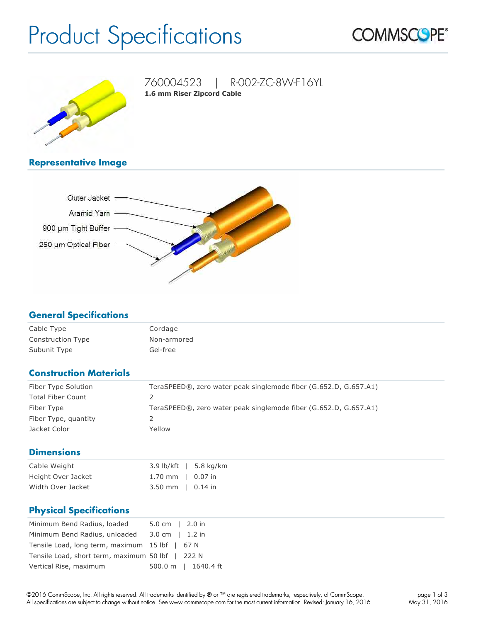# Product Specifications





760004523 | R-002-ZC-8W-F16YL **1.6 mm Riser Zipcord Cable**

# **Representative Image**



#### **General Specifications**

| Cable Type               | Cordage     |
|--------------------------|-------------|
| <b>Construction Type</b> | Non-armored |
| Subunit Type             | Gel-free    |

# **Construction Materials**

| Fiber Type Solution      | TeraSPEED®, zero water peak singlemode fiber (G.652.D, G.657.A1) |
|--------------------------|------------------------------------------------------------------|
| <b>Total Fiber Count</b> |                                                                  |
| Fiber Type               | TeraSPEED®, zero water peak singlemode fiber (G.652.D, G.657.A1) |
| Fiber Type, quantity     |                                                                  |
| Jacket Color             | Yellow                                                           |

#### **Dimensions**

| Cable Weight       |                             | $3.9$ lb/kft   5.8 kg/km |
|--------------------|-----------------------------|--------------------------|
| Height Over Jacket | 1.70 mm $\parallel$ 0.07 in |                          |
| Width Over Jacket  | $3.50$ mm $\mid$ 0.14 in    |                          |

# **Physical Specifications**

| Minimum Bend Radius, loaded                      | $5.0 \text{ cm}$   2.0 in |                     |
|--------------------------------------------------|---------------------------|---------------------|
| Minimum Bend Radius, unloaded 3.0 cm   1.2 in    |                           |                     |
| Tensile Load, long term, maximum 15 lbf   67 N   |                           |                     |
| Tensile Load, short term, maximum 50 lbf   222 N |                           |                     |
| Vertical Rise, maximum                           |                           | 500.0 m   1640.4 ft |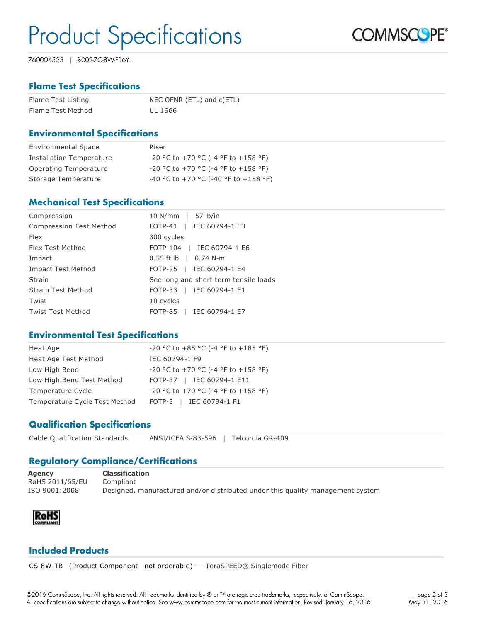# Product Specifications

**COMMSCOPE®** 

760004523 | R-002-ZC-8W-F16YL

# **Flame Test Specifications**

| Flame Test Listing | NEC OFNR (ETL) and c(ETL) |
|--------------------|---------------------------|
| Flame Test Method  | UL 1666                   |

#### **Environmental Specifications**

| <b>Environmental Space</b>      | Riser                                        |
|---------------------------------|----------------------------------------------|
| <b>Installation Temperature</b> | $-20$ °C to $+70$ °C (-4 °F to $+158$ °F)    |
| Operating Temperature           | $-20$ °C to $+70$ °C ( $-4$ °F to $+158$ °F) |
| Storage Temperature             | -40 °C to +70 °C (-40 °F to +158 °F)         |

#### **Mechanical Test Specifications**

| Compression                    | 10 N/mm   57 lb/in                    |
|--------------------------------|---------------------------------------|
| <b>Compression Test Method</b> | FOTP-41   IEC 60794-1 E3              |
| <b>Flex</b>                    | 300 cycles                            |
| Flex Test Method               | FOTP-104   IEC 60794-1 E6             |
| Impact                         | $0.55$ ft lb $\,$   0.74 N-m          |
| <b>Impact Test Method</b>      | FOTP-25   IEC 60794-1 E4              |
| Strain                         | See long and short term tensile loads |
| <b>Strain Test Method</b>      | FOTP-33   IEC 60794-1 E1              |
| Twist                          | 10 cycles                             |
| <b>Twist Test Method</b>       | FOTP-85   IEC 60794-1 E7              |

#### **Environmental Test Specifications**

| Heat Age                      | -20 °C to +85 °C (-4 °F to +185 °F)          |
|-------------------------------|----------------------------------------------|
| Heat Age Test Method          | IEC 60794-1 F9                               |
| Low High Bend                 | $-20$ °C to $+70$ °C (-4 °F to $+158$ °F)    |
| Low High Bend Test Method     | FOTP-37   IEC 60794-1 E11                    |
| Temperature Cycle             | $-20$ °C to $+70$ °C ( $-4$ °F to $+158$ °F) |
| Temperature Cycle Test Method | FOTP-3   IEC 60794-1 F1                      |

# **Qualification Specifications**

Cable Qualification Standards ANSI/ICEA S83596 | Telcordia GR409

# **Regulatory Compliance/Certifications**

**Agency Classification** RoHS 2011/65/EU Compliant ISO 9001:2008 Designed, manufactured and/or distributed under this quality management system



#### **Included Products**

CS-8W-TB (Product Component-not orderable) - TeraSPEED® Singlemode Fiber